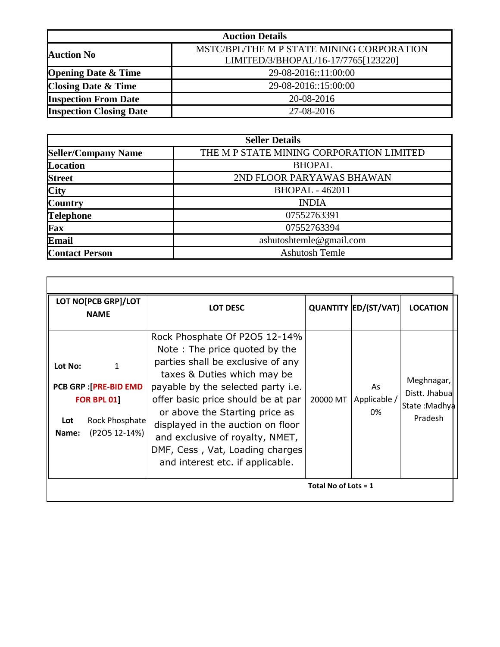| <b>Auction Details</b>         |                                           |  |  |  |  |
|--------------------------------|-------------------------------------------|--|--|--|--|
| <b>Auction No</b>              | MSTC/BPL/THE M P STATE MINING CORPORATION |  |  |  |  |
|                                | LIMITED/3/BHOPAL/16-17/7765[123220]       |  |  |  |  |
| <b>Opening Date &amp; Time</b> | 29-08-2016::11:00:00                      |  |  |  |  |
| <b>Closing Date &amp; Time</b> | 29-08-2016::15:00:00                      |  |  |  |  |
| <b>Inspection From Date</b>    | 20-08-2016                                |  |  |  |  |
| <b>Inspection Closing Date</b> | 27-08-2016                                |  |  |  |  |

| <b>Seller Details</b>      |                                          |  |  |  |  |
|----------------------------|------------------------------------------|--|--|--|--|
| <b>Seller/Company Name</b> | THE M P STATE MINING CORPORATION LIMITED |  |  |  |  |
| <b>Location</b>            | <b>BHOPAL</b>                            |  |  |  |  |
| <b>Street</b>              | 2ND FLOOR PARYAWAS BHAWAN                |  |  |  |  |
| <b>City</b>                | <b>BHOPAL - 462011</b>                   |  |  |  |  |
| <b>Country</b>             | <b>INDIA</b>                             |  |  |  |  |
| <b>Telephone</b>           | 07552763391                              |  |  |  |  |
| Fax                        | 07552763394                              |  |  |  |  |
| <b>Email</b>               | ashutoshtemle@gmail.com                  |  |  |  |  |
| <b>Contact Person</b>      | <b>Ashutosh Temle</b>                    |  |  |  |  |

| LOT NO[PCB GRP]/LOT<br><b>NAME</b> |                                                                                                        | LOT DESC                                                                                                                                                                                                                                                                                                                                                                                               |          | <b>QUANTITY ED/(ST/VAT)</b> | <b>LOCATION</b>                                         |
|------------------------------------|--------------------------------------------------------------------------------------------------------|--------------------------------------------------------------------------------------------------------------------------------------------------------------------------------------------------------------------------------------------------------------------------------------------------------------------------------------------------------------------------------------------------------|----------|-----------------------------|---------------------------------------------------------|
| Lot No:<br>Lot<br>Name:            | $\mathbf{1}$<br><b>PCB GRP : [PRE-BID EMD</b><br><b>FOR BPL 01]</b><br>Rock Phosphate<br>(P2O5 12-14%) | Rock Phosphate Of P2O5 12-14%<br>Note: The price quoted by the<br>parties shall be exclusive of any<br>taxes & Duties which may be<br>payable by the selected party <i>i.e.</i><br>offer basic price should be at par<br>or above the Starting price as<br>displayed in the auction on floor<br>and exclusive of royalty, NMET,<br>DMF, Cess, Vat, Loading charges<br>and interest etc. if applicable. | 20000 MT | As<br>Applicable<br>0%      | Meghnagar,<br>Distt. Jhabual<br>State:Madhya<br>Pradesh |
| Total No of Lots = $1$             |                                                                                                        |                                                                                                                                                                                                                                                                                                                                                                                                        |          |                             |                                                         |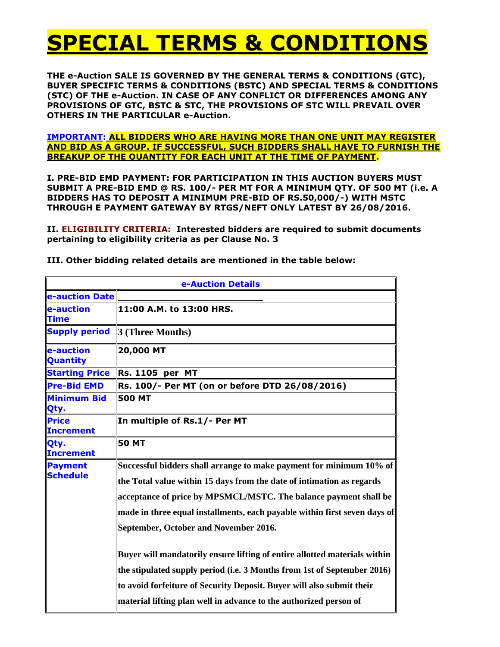# **SPECIAL TERMS & CONDITIONS**

**THE e-Auction SALE IS GOVERNED BY THE GENERAL TERMS & CONDITIONS (GTC), BUYER SPECIFIC TERMS & CONDITIONS (BSTC) AND SPECIAL TERMS & CONDITIONS (STC) OF THE e-Auction. IN CASE OF ANY CONFLICT OR DIFFERENCES AMONG ANY PROVISIONS OF GTC, BSTC & STC, THE PROVISIONS OF STC WILL PREVAIL OVER OTHERS IN THE PARTICULAR e-Auction.**

**IMPORTANT: ALL BIDDERS WHO ARE HAVING MORE THAN ONE UNIT MAY REGISTER AND BID AS A GROUP. IF SUCCESSFUL, SUCH BIDDERS SHALL HAVE TO FURNISH THE BREAKUP OF THE QUANTITY FOR EACH UNIT AT THE TIME OF PAYMENT.**

**I. PRE-BID EMD PAYMENT: FOR PARTICIPATION IN THIS AUCTION BUYERS MUST SUBMIT A PRE-BID EMD @ RS. 100/- PER MT FOR A MINIMUM QTY. OF 500 MT (i.e. A BIDDERS HAS TO DEPOSIT A MINIMUM PRE-BID OF RS.50,000/-) WITH MSTC THROUGH E PAYMENT GATEWAY BY RTGS/NEFT ONLY LATEST BY 26/08/2016.**

**II. ELIGIBILITY CRITERIA: Interested bidders are required to submit documents pertaining to eligibility criteria as per Clause No. 3**

| e-Auction Details               |                                                                                                                                                                                                                                                                                                                                        |  |  |  |
|---------------------------------|----------------------------------------------------------------------------------------------------------------------------------------------------------------------------------------------------------------------------------------------------------------------------------------------------------------------------------------|--|--|--|
| e-auction Date                  |                                                                                                                                                                                                                                                                                                                                        |  |  |  |
| e-auction<br><b>Time</b>        | 11:00 A.M. to 13:00 HRS.                                                                                                                                                                                                                                                                                                               |  |  |  |
| <b>Supply period</b>            | $3$ (Three Months)                                                                                                                                                                                                                                                                                                                     |  |  |  |
| e-auction<br>Quantity           | 20,000 MT                                                                                                                                                                                                                                                                                                                              |  |  |  |
| <b>Starting Price</b>           | <b>Rs. 1105 per MT</b>                                                                                                                                                                                                                                                                                                                 |  |  |  |
| <b>Pre-Bid EMD</b>              | Rs. 100/- Per MT (on or before DTD 26/08/2016)                                                                                                                                                                                                                                                                                         |  |  |  |
| Minimum Bid<br>Qty.             | <b>500 MT</b>                                                                                                                                                                                                                                                                                                                          |  |  |  |
| <b>Price</b><br>Increment       | In multiple of Rs.1/- Per MT                                                                                                                                                                                                                                                                                                           |  |  |  |
| <b>Qty.</b><br><b>Increment</b> | <b>50 MT</b>                                                                                                                                                                                                                                                                                                                           |  |  |  |
| Payment<br>Schedule             | Successful bidders shall arrange to make payment for minimum 10% of<br>the Total value within 15 days from the date of intimation as regards<br>acceptance of price by MPSMCL/MSTC. The balance payment shall be<br>made in three equal installments, each payable within first seven days of<br>September, October and November 2016. |  |  |  |
|                                 | Buyer will mandatorily ensure lifting of entire allotted materials within<br>the stipulated supply period (i.e. 3 Months from 1st of September 2016)<br>to avoid forfeiture of Security Deposit. Buyer will also submit their<br>material lifting plan well in advance to the authorized person of                                     |  |  |  |

**III. Other bidding related details are mentioned in the table below:**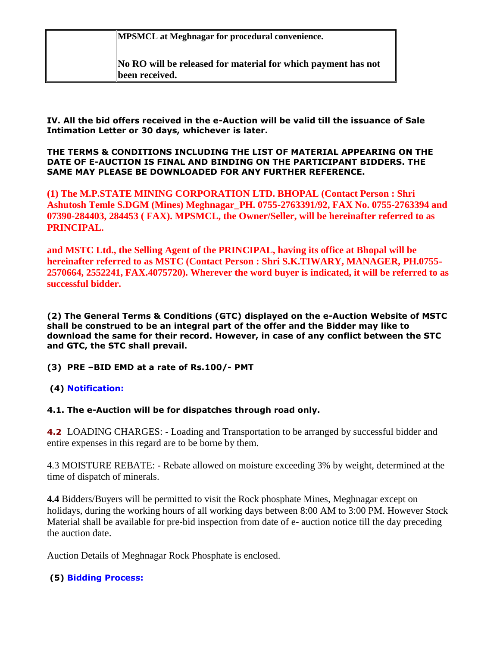**MPSMCL at Meghnagar for procedural convenience.**

**No RO will be released for material for which payment has not been received.**

**IV. All the bid offers received in the e-Auction will be valid till the issuance of Sale Intimation Letter or 30 days, whichever is later.**

#### **THE TERMS & CONDITIONS INCLUDING THE LIST OF MATERIAL APPEARING ON THE DATE OF E-AUCTION IS FINAL AND BINDING ON THE PARTICIPANT BIDDERS. THE SAME MAY PLEASE BE DOWNLOADED FOR ANY FURTHER REFERENCE.**

**(1) The M.P.STATE MINING CORPORATION LTD. BHOPAL (Contact Person : Shri Ashutosh Temle S.DGM (Mines) Meghnagar\_PH. 0755-2763391/92, FAX No. 0755-2763394 and 07390-284403, 284453 ( FAX). MPSMCL, the Owner/Seller, will be hereinafter referred to as PRINCIPAL.**

**and MSTC Ltd., the Selling Agent of the PRINCIPAL, having its office at Bhopal will be hereinafter referred to as MSTC (Contact Person : Shri S.K.TIWARY, MANAGER, PH.0755- 2570664, 2552241, FAX.4075720). Wherever the word buyer is indicated, it will be referred to as successful bidder.**

**(2) The General Terms & Conditions (GTC) displayed on the e-Auction Website of MSTC shall be construed to be an integral part of the offer and the Bidder may like to download the same for their record. However, in case of any conflict between the STC and GTC, the STC shall prevail.**

- **(3) PRE –BID EMD at a rate of Rs.100/- PMT**
- **(4) Notification:**

# **4.1. The e-Auction will be for dispatches through road only.**

**4.2** LOADING CHARGES: - Loading and Transportation to be arranged by successful bidder and entire expenses in this regard are to be borne by them.

4.3 MOISTURE REBATE: - Rebate allowed on moisture exceeding 3% by weight, determined at the time of dispatch of minerals.

**4.4** Bidders/Buyers will be permitted to visit the Rock phosphate Mines, Meghnagar except on holidays, during the working hours of all working days between 8:00 AM to 3:00 PM. However Stock Material shall be available for pre-bid inspection from date of e- auction notice till the day preceding the auction date.

Auction Details of Meghnagar Rock Phosphate is enclosed.

# **(5) Bidding Process:**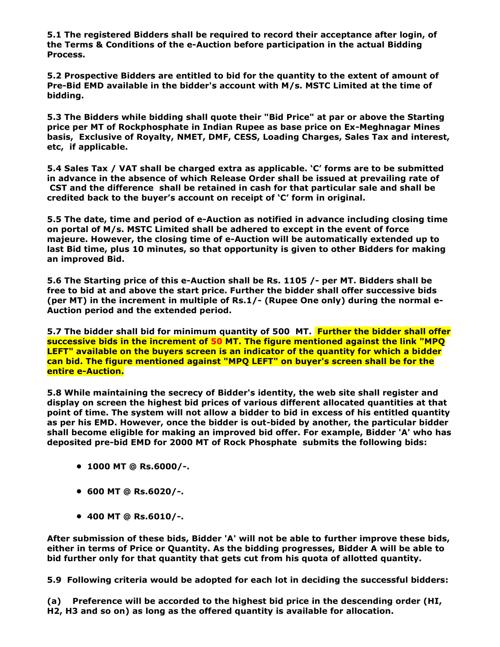**5.1 The registered Bidders shall be required to record their acceptance after login, of the Terms & Conditions of the e-Auction before participation in the actual Bidding Process.**

**5.2 Prospective Bidders are entitled to bid for the quantity to the extent of amount of Pre-Bid EMD available in the bidder's account with M/s. MSTC Limited at the time of bidding.**

**5.3 The Bidders while bidding shall quote their "Bid Price" at par or above the Starting price per MT of Rockphosphate in Indian Rupee as base price on Ex-Meghnagar Mines basis, Exclusive of Royalty, NMET, DMF, CESS, Loading Charges, Sales Tax and interest, etc, if applicable.**

**5.4 Sales Tax / VAT shall be charged extra as applicable. 'C' forms are to be submitted in advance in the absence of which Release Order shall be issued at prevailing rate of CST and the difference shall be retained in cash for that particular sale and shall be credited back to the buyer's account on receipt of 'C' form in original.**

**5.5 The date, time and period of e-Auction as notified in advance including closing time on portal of M/s. MSTC Limited shall be adhered to except in the event of force majeure. However, the closing time of e-Auction will be automatically extended up to last Bid time, plus 10 minutes, so that opportunity is given to other Bidders for making an improved Bid.**

**5.6 The Starting price of this e-Auction shall be Rs. 1105 /- per MT. Bidders shall be free to bid at and above the start price. Further the bidder shall offer successive bids (per MT) in the increment in multiple of Rs.1/- (Rupee One only) during the normal e-Auction period and the extended period.**

**5.7 The bidder shall bid for minimum quantity of 500 MT. Further the bidder shall offer successive bids in the increment of 50 MT. The figure mentioned against the link "MPQ LEFT" available on the buyers screen is an indicator of the quantity for which a bidder can bid. The figure mentioned against "MPQ LEFT" on buyer's screen shall be for the entire e-Auction.**

**5.8 While maintaining the secrecy of Bidder's identity, the web site shall register and display on screen the highest bid prices of various different allocated quantities at that point of time. The system will not allow a bidder to bid in excess of his entitled quantity as per his EMD. However, once the bidder is out-bided by another, the particular bidder shall become eligible for making an improved bid offer. For example, Bidder 'A' who has deposited pre-bid EMD for 2000 MT of Rock Phosphate submits the following bids:**

- **1000 MT @ Rs.6000/-.**
- **600 MT @ Rs.6020/-.**
- **400 MT @ Rs.6010/-.**

**After submission of these bids, Bidder 'A' will not be able to further improve these bids, either in terms of Price or Quantity. As the bidding progresses, Bidder A will be able to bid further only for that quantity that gets cut from his quota of allotted quantity.**

**5.9 Following criteria would be adopted for each lot in deciding the successful bidders:**

**(a) Preference will be accorded to the highest bid price in the descending order (HI, H2, H3 and so on) as long as the offered quantity is available for allocation.**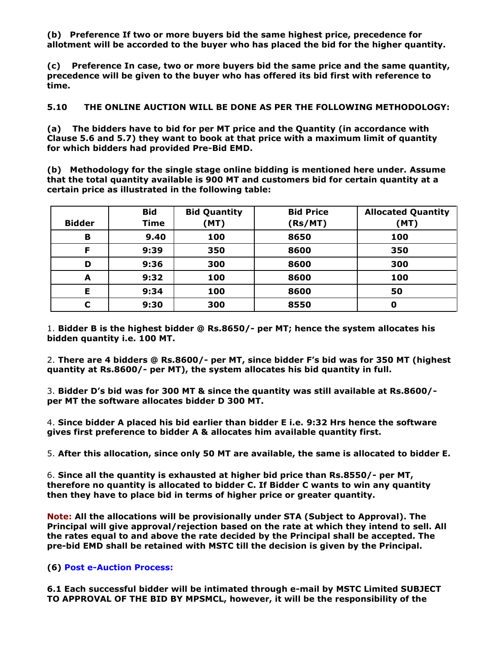**(b) Preference If two or more buyers bid the same highest price, precedence for allotment will be accorded to the buyer who has placed the bid for the higher quantity.**

**(c) Preference In case, two or more buyers bid the same price and the same quantity, precedence will be given to the buyer who has offered its bid first with reference to time.**

**5.10 THE ONLINE AUCTION WILL BE DONE AS PER THE FOLLOWING METHODOLOGY:**

**(a) The bidders have to bid for per MT price and the Quantity (in accordance with Clause 5.6 and 5.7) they want to book at that price with a maximum limit of quantity for which bidders had provided Pre-Bid EMD.**

**(b) Methodology for the single stage online bidding is mentioned here under. Assume that the total quantity available is 900 MT and customers bid for certain quantity at a certain price as illustrated in the following table:**

|               | <b>Bid</b>  | <b>Bid Quantity</b> | <b>Bid Price</b> | <b>Allocated Quantity</b> |
|---------------|-------------|---------------------|------------------|---------------------------|
| <b>Bidder</b> | <b>Time</b> | (MT)                | (Rs/MT)          | (MT)                      |
| B             | 9.40        | 100                 | 8650             | 100                       |
| F             | 9:39        | 350                 | 8600             | 350                       |
| D             | 9:36        | 300                 | 8600             | 300                       |
| A             | 9:32        | 100                 | 8600             | 100                       |
| Е             | 9:34        | 100                 | 8600             | 50                        |
| С             | 9:30        | 300                 | 8550             | 0                         |

1. **Bidder B is the highest bidder @ Rs.8650/- per MT; hence the system allocates his bidden quantity i.e. 100 MT.**

2. **There are 4 bidders @ Rs.8600/- per MT, since bidder F's bid was for 350 MT (highest quantity at Rs.8600/- per MT), the system allocates his bid quantity in full.**

3. **Bidder D's bid was for 300 MT & since the quantity was still available at Rs.8600/ per MT the software allocates bidder D 300 MT.**

4. **Since bidder A placed his bid earlier than bidder E i.e. 9:32 Hrs hence the software gives first preference to bidder A & allocates him available quantity first.**

5. **After this allocation, since only 50 MT are available, the same is allocated to bidder E.**

6. **Since all the quantity is exhausted at higher bid price than Rs.8550/- per MT, therefore no quantity is allocated to bidder C. If Bidder C wants to win any quantity then they have to place bid in terms of higher price or greater quantity.**

**Note: All the allocations will be provisionally under STA (Subject to Approval). The Principal will give approval/rejection based on the rate at which they intend to sell. All the rates equal to and above the rate decided by the Principal shall be accepted. The pre-bid EMD shall be retained with MSTC till the decision is given by the Principal.**

# **(6) Post e-Auction Process:**

**6.1 Each successful bidder will be intimated through e-mail by MSTC Limited SUBJECT TO APPROVAL OF THE BID BY MPSMCL, however, it will be the responsibility of the**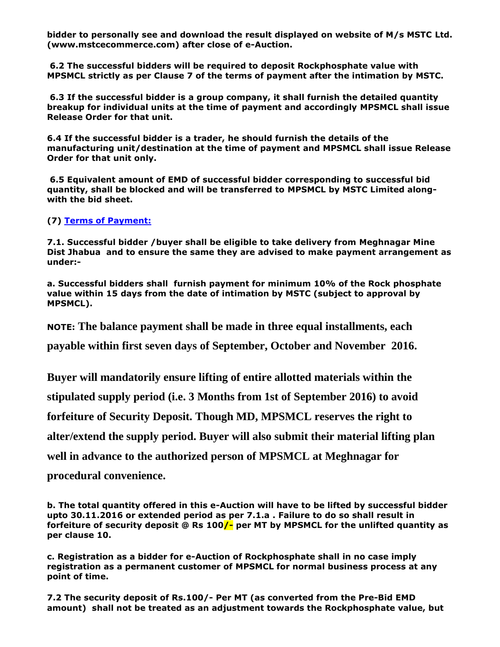**bidder to personally see and download the result displayed on website of M/s MSTC Ltd. (www.mstcecommerce.com) after close of e-Auction.**

**6.2 The successful bidders will be required to deposit Rockphosphate value with MPSMCL strictly as per Clause 7 of the terms of payment after the intimation by MSTC.**

**6.3 If the successful bidder is a group company, it shall furnish the detailed quantity breakup for individual units at the time of payment and accordingly MPSMCL shall issue Release Order for that unit.**

**6.4 If the successful bidder is a trader, he should furnish the details of the manufacturing unit/destination at the time of payment and MPSMCL shall issue Release Order for that unit only.**

**6.5 Equivalent amount of EMD of successful bidder corresponding to successful bid quantity, shall be blocked and will be transferred to MPSMCL by MSTC Limited alongwith the bid sheet.**

**(7) Terms of Payment:**

**7.1. Successful bidder /buyer shall be eligible to take delivery from Meghnagar Mine Dist Jhabua and to ensure the same they are advised to make payment arrangement as under:-**

**a. Successful bidders shall furnish payment for minimum 10% of the Rock phosphate value within 15 days from the date of intimation by MSTC (subject to approval by MPSMCL).** 

**NOTE: The balance payment shall be made in three equal installments, each** 

**payable within first seven days of September, October and November 2016.** 

**Buyer will mandatorily ensure lifting of entire allotted materials within the** 

**stipulated supply period (i.e. 3 Months from 1st of September 2016) to avoid** 

**forfeiture of Security Deposit. Though MD, MPSMCL reserves the right to** 

**alter/extend the supply period. Buyer will also submit their material lifting plan** 

**well in advance to the authorized person of MPSMCL at Meghnagar for** 

**procedural convenience.**

**b. The total quantity offered in this e-Auction will have to be lifted by successful bidder upto 30.11.2016 or extended period as per 7.1.a . Failure to do so shall result in forfeiture of security deposit @ Rs 100/- per MT by MPSMCL for the unlifted quantity as per clause 10.**

**c. Registration as a bidder for e-Auction of Rockphosphate shall in no case imply registration as a permanent customer of MPSMCL for normal business process at any point of time.**

**7.2 The security deposit of Rs.100/- Per MT (as converted from the Pre-Bid EMD amount) shall not be treated as an adjustment towards the Rockphosphate value, but**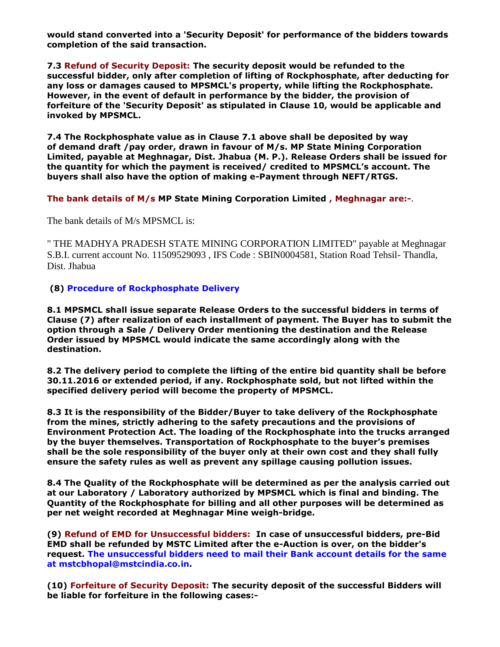**would stand converted into a 'Security Deposit' for performance of the bidders towards completion of the said transaction.**

**7.3 Refund of Security Deposit: The security deposit would be refunded to the successful bidder, only after completion of lifting of Rockphosphate, after deducting for any loss or damages caused to MPSMCL's property, while lifting the Rockphosphate. However, in the event of default in performance by the bidder, the provision of forfeiture of the 'Security Deposit' as stipulated in Clause 10, would be applicable and invoked by MPSMCL.**

**7.4 The Rockphosphate value as in Clause 7.1 above shall be deposited by way of demand draft /pay order, drawn in favour of M/s. MP State Mining Corporation Limited, payable at Meghnagar, Dist. Jhabua (M. P.). Release Orders shall be issued for the quantity for which the payment is received/ credited to MPSMCL's account. The buyers shall also have the option of making e-Payment through NEFT/RTGS.**

**The bank details of M/s MP State Mining Corporation Limited , Meghnagar are:-**.

The bank details of M/s MPSMCL is:

" THE MADHYA PRADESH STATE MINING CORPORATION LIMITED" payable at Meghnagar S.B.I. current account No. 11509529093 , IFS Code : SBIN0004581, Station Road Tehsil- Thandla, Dist. Jhabua

**(8) Procedure of Rockphosphate Delivery**

**8.1 MPSMCL shall issue separate Release Orders to the successful bidders in terms of Clause (7) after realization of each installment of payment. The Buyer has to submit the option through a Sale / Delivery Order mentioning the destination and the Release Order issued by MPSMCL would indicate the same accordingly along with the destination.**

**8.2 The delivery period to complete the lifting of the entire bid quantity shall be before 30.11.2016 or extended period, if any. Rockphosphate sold, but not lifted within the specified delivery period will become the property of MPSMCL.**

**8.3 It is the responsibility of the Bidder/Buyer to take delivery of the Rockphosphate from the mines, strictly adhering to the safety precautions and the provisions of Environment Protection Act. The loading of the Rockphosphate into the trucks arranged by the buyer themselves. Transportation of Rockphosphate to the buyer's premises shall be the sole responsibility of the buyer only at their own cost and they shall fully ensure the safety rules as well as prevent any spillage causing pollution issues.**

**8.4 The Quality of the Rockphosphate will be determined as per the analysis carried out at our Laboratory / Laboratory authorized by MPSMCL which is final and binding. The Quantity of the Rockphosphate for billing and all other purposes will be determined as per net weight recorded at Meghnagar Mine weigh-bridge.**

**(9) Refund of EMD for Unsuccessful bidders: In case of unsuccessful bidders, pre-Bid EMD shall be refunded by MSTC Limited after the e-Auction is over, on the bidder's request. The unsuccessful bidders need to mail their Bank account details for the same at mstcbhopal@mstcindia.co.in.**

**(10) Forfeiture of Security Deposit: The security deposit of the successful Bidders will be liable for forfeiture in the following cases:-**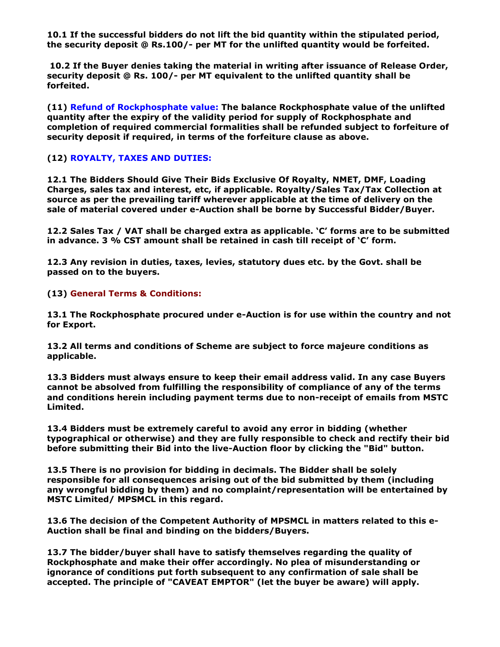**10.1 If the successful bidders do not lift the bid quantity within the stipulated period, the security deposit @ Rs.100/- per MT for the unlifted quantity would be forfeited.**

**10.2 If the Buyer denies taking the material in writing after issuance of Release Order, security deposit @ Rs. 100/- per MT equivalent to the unlifted quantity shall be forfeited.**

**(11) Refund of Rockphosphate value: The balance Rockphosphate value of the unlifted quantity after the expiry of the validity period for supply of Rockphosphate and completion of required commercial formalities shall be refunded subject to forfeiture of security deposit if required, in terms of the forfeiture clause as above.**

### **(12) ROYALTY, TAXES AND DUTIES:**

**12.1 The Bidders Should Give Their Bids Exclusive Of Royalty, NMET, DMF, Loading Charges, sales tax and interest, etc, if applicable. Royalty/Sales Tax/Tax Collection at source as per the prevailing tariff wherever applicable at the time of delivery on the sale of material covered under e-Auction shall be borne by Successful Bidder/Buyer.**

**12.2 Sales Tax / VAT shall be charged extra as applicable. 'C' forms are to be submitted in advance. 3 % CST amount shall be retained in cash till receipt of 'C' form.**

**12.3 Any revision in duties, taxes, levies, statutory dues etc. by the Govt. shall be passed on to the buyers.**

#### **(13) General Terms & Conditions:**

**13.1 The Rockphosphate procured under e-Auction is for use within the country and not for Export.**

**13.2 All terms and conditions of Scheme are subject to force majeure conditions as applicable.**

**13.3 Bidders must always ensure to keep their email address valid. In any case Buyers cannot be absolved from fulfilling the responsibility of compliance of any of the terms and conditions herein including payment terms due to non-receipt of emails from MSTC Limited.**

**13.4 Bidders must be extremely careful to avoid any error in bidding (whether typographical or otherwise) and they are fully responsible to check and rectify their bid before submitting their Bid into the live-Auction floor by clicking the "Bid" button.**

**13.5 There is no provision for bidding in decimals. The Bidder shall be solely responsible for all consequences arising out of the bid submitted by them (including any wrongful bidding by them) and no complaint/representation will be entertained by MSTC Limited/ MPSMCL in this regard.**

**13.6 The decision of the Competent Authority of MPSMCL in matters related to this e-Auction shall be final and binding on the bidders/Buyers.**

**13.7 The bidder/buyer shall have to satisfy themselves regarding the quality of Rockphosphate and make their offer accordingly. No plea of misunderstanding or ignorance of conditions put forth subsequent to any confirmation of sale shall be accepted. The principle of "CAVEAT EMPTOR" (let the buyer be aware) will apply.**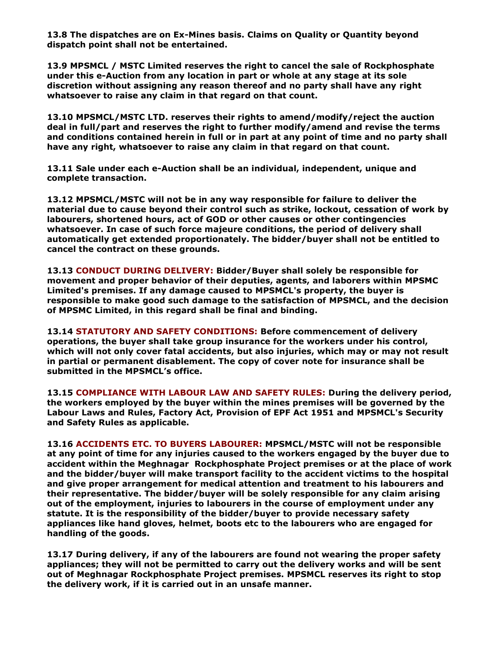**13.8 The dispatches are on Ex-Mines basis. Claims on Quality or Quantity beyond dispatch point shall not be entertained.**

**13.9 MPSMCL / MSTC Limited reserves the right to cancel the sale of Rockphosphate under this e-Auction from any location in part or whole at any stage at its sole discretion without assigning any reason thereof and no party shall have any right whatsoever to raise any claim in that regard on that count.**

**13.10 MPSMCL/MSTC LTD. reserves their rights to amend/modify/reject the auction deal in full/part and reserves the right to further modify/amend and revise the terms and conditions contained herein in full or in part at any point of time and no party shall have any right, whatsoever to raise any claim in that regard on that count.**

**13.11 Sale under each e-Auction shall be an individual, independent, unique and complete transaction.**

**13.12 MPSMCL/MSTC will not be in any way responsible for failure to deliver the material due to cause beyond their control such as strike, lockout, cessation of work by labourers, shortened hours, act of GOD or other causes or other contingencies whatsoever. In case of such force majeure conditions, the period of delivery shall automatically get extended proportionately. The bidder/buyer shall not be entitled to cancel the contract on these grounds.**

**13.13 CONDUCT DURING DELIVERY: Bidder/Buyer shall solely be responsible for movement and proper behavior of their deputies, agents, and laborers within MPSMC Limited's premises. If any damage caused to MPSMCL's property, the buyer is responsible to make good such damage to the satisfaction of MPSMCL, and the decision of MPSMC Limited, in this regard shall be final and binding.** 

**13.14 STATUTORY AND SAFETY CONDITIONS: Before commencement of delivery operations, the buyer shall take group insurance for the workers under his control, which will not only cover fatal accidents, but also injuries, which may or may not result in partial or permanent disablement. The copy of cover note for insurance shall be submitted in the MPSMCL's office.**

**13.15 COMPLIANCE WITH LABOUR LAW AND SAFETY RULES: During the delivery period, the workers employed by the buyer within the mines premises will be governed by the Labour Laws and Rules, Factory Act, Provision of EPF Act 1951 and MPSMCL's Security and Safety Rules as applicable.**

**13.16 ACCIDENTS ETC. TO BUYERS LABOURER: MPSMCL/MSTC will not be responsible at any point of time for any injuries caused to the workers engaged by the buyer due to accident within the Meghnagar Rockphosphate Project premises or at the place of work and the bidder/buyer will make transport facility to the accident victims to the hospital and give proper arrangement for medical attention and treatment to his labourers and their representative. The bidder/buyer will be solely responsible for any claim arising out of the employment, injuries to labourers in the course of employment under any statute. It is the responsibility of the bidder/buyer to provide necessary safety appliances like hand gloves, helmet, boots etc to the labourers who are engaged for handling of the goods.**

**13.17 During delivery, if any of the labourers are found not wearing the proper safety appliances; they will not be permitted to carry out the delivery works and will be sent out of Meghnagar Rockphosphate Project premises. MPSMCL reserves its right to stop the delivery work, if it is carried out in an unsafe manner.**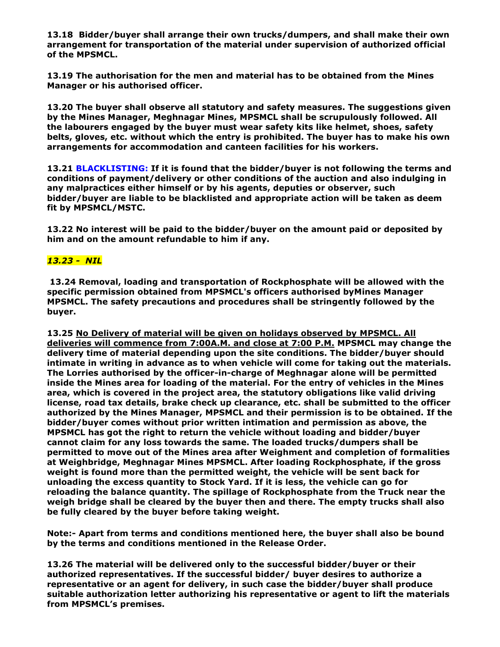**13.18 Bidder/buyer shall arrange their own trucks/dumpers, and shall make their own arrangement for transportation of the material under supervision of authorized official of the MPSMCL.**

**13.19 The authorisation for the men and material has to be obtained from the Mines Manager or his authorised officer.**

**13.20 The buyer shall observe all statutory and safety measures. The suggestions given by the Mines Manager, Meghnagar Mines, MPSMCL shall be scrupulously followed. All the labourers engaged by the buyer must wear safety kits like helmet, shoes, safety belts, gloves, etc. without which the entry is prohibited. The buyer has to make his own arrangements for accommodation and canteen facilities for his workers.**

**13.21 BLACKLISTING: If it is found that the bidder/buyer is not following the terms and conditions of payment/delivery or other conditions of the auction and also indulging in any malpractices either himself or by his agents, deputies or observer, such bidder/buyer are liable to be blacklisted and appropriate action will be taken as deem fit by MPSMCL/MSTC.**

**13.22 No interest will be paid to the bidder/buyer on the amount paid or deposited by him and on the amount refundable to him if any.**

### *13.23 - NIL*

**13.24 Removal, loading and transportation of Rockphosphate will be allowed with the specific permission obtained from MPSMCL's officers authorised byMines Manager MPSMCL. The safety precautions and procedures shall be stringently followed by the buyer.**

**13.25 No Delivery of material will be given on holidays observed by MPSMCL. All deliveries will commence from 7:00A.M. and close at 7:00 P.M. MPSMCL may change the delivery time of material depending upon the site conditions. The bidder/buyer should intimate in writing in advance as to when vehicle will come for taking out the materials. The Lorries authorised by the officer-in-charge of Meghnagar alone will be permitted inside the Mines area for loading of the material. For the entry of vehicles in the Mines area, which is covered in the project area, the statutory obligations like valid driving license, road tax details, brake check up clearance, etc. shall be submitted to the officer authorized by the Mines Manager, MPSMCL and their permission is to be obtained. If the bidder/buyer comes without prior written intimation and permission as above, the MPSMCL has got the right to return the vehicle without loading and bidder/buyer cannot claim for any loss towards the same. The loaded trucks/dumpers shall be permitted to move out of the Mines area after Weighment and completion of formalities at Weighbridge, Meghnagar Mines MPSMCL. After loading Rockphosphate, if the gross weight is found more than the permitted weight, the vehicle will be sent back for unloading the excess quantity to Stock Yard. If it is less, the vehicle can go for reloading the balance quantity. The spillage of Rockphosphate from the Truck near the weigh bridge shall be cleared by the buyer then and there. The empty trucks shall also be fully cleared by the buyer before taking weight.**

**Note:- Apart from terms and conditions mentioned here, the buyer shall also be bound by the terms and conditions mentioned in the Release Order.**

**13.26 The material will be delivered only to the successful bidder/buyer or their authorized representatives. If the successful bidder/ buyer desires to authorize a representative or an agent for delivery, in such case the bidder/buyer shall produce suitable authorization letter authorizing his representative or agent to lift the materials from MPSMCL's premises.**